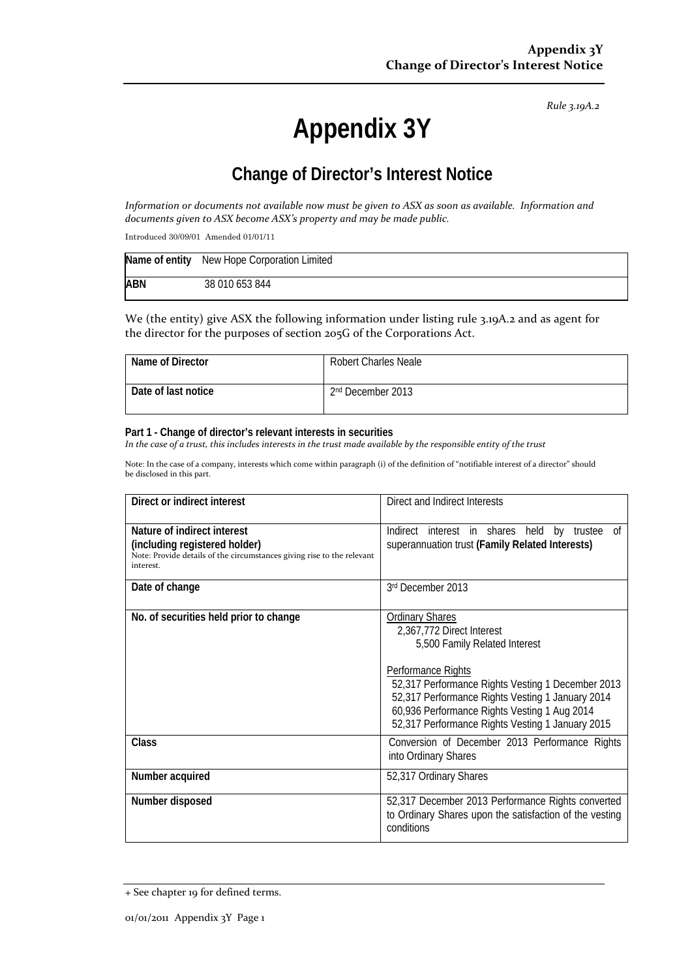*Rule 3.19A.2*

# **Appendix 3Y**

## **Change of Director's Interest Notice**

Information or documents not available now must be given to ASX as soon as available. Information and *documents given to ASX become ASX's property and may be made public.*

Introduced 30/09/01 Amended 01/01/11

|            | Name of entity New Hope Corporation Limited |
|------------|---------------------------------------------|
| <b>ABN</b> | 38 010 653 844                              |

We (the entity) give ASX the following information under listing rule 3.19A.2 and as agent for the director for the purposes of section 205G of the Corporations Act.

| Name of Director    | <b>Robert Charles Neale</b>   |
|---------------------|-------------------------------|
| Date of last notice | 2 <sup>nd</sup> December 2013 |

#### **Part 1 - Change of director's relevant interests in securities**

In the case of a trust, this includes interests in the trust made available by the responsible entity of the trust

Note: In the case of a company, interests which come within paragraph (i) of the definition of "notifiable interest of a director" should be disclosed in this part.

| Direct or indirect interest                                                                                                                         | Direct and Indirect Interests                                                                                                                                                                                                                                                                                           |  |
|-----------------------------------------------------------------------------------------------------------------------------------------------------|-------------------------------------------------------------------------------------------------------------------------------------------------------------------------------------------------------------------------------------------------------------------------------------------------------------------------|--|
| Nature of indirect interest<br>(including registered holder)<br>Note: Provide details of the circumstances giving rise to the relevant<br>interest. | Indirect interest in shares held by trustee<br>0f<br>superannuation trust (Family Related Interests)                                                                                                                                                                                                                    |  |
| Date of change                                                                                                                                      | 3rd December 2013                                                                                                                                                                                                                                                                                                       |  |
| No. of securities held prior to change                                                                                                              | <b>Ordinary Shares</b><br>2,367,772 Direct Interest<br>5,500 Family Related Interest<br>Performance Rights<br>52,317 Performance Rights Vesting 1 December 2013<br>52,317 Performance Rights Vesting 1 January 2014<br>60,936 Performance Rights Vesting 1 Aug 2014<br>52,317 Performance Rights Vesting 1 January 2015 |  |
| <b>Class</b>                                                                                                                                        | Conversion of December 2013 Performance Rights<br>into Ordinary Shares                                                                                                                                                                                                                                                  |  |
| Number acquired                                                                                                                                     | 52,317 Ordinary Shares                                                                                                                                                                                                                                                                                                  |  |
| Number disposed                                                                                                                                     | 52,317 December 2013 Performance Rights converted<br>to Ordinary Shares upon the satisfaction of the vesting<br>conditions                                                                                                                                                                                              |  |

<sup>+</sup> See chapter 19 for defined terms.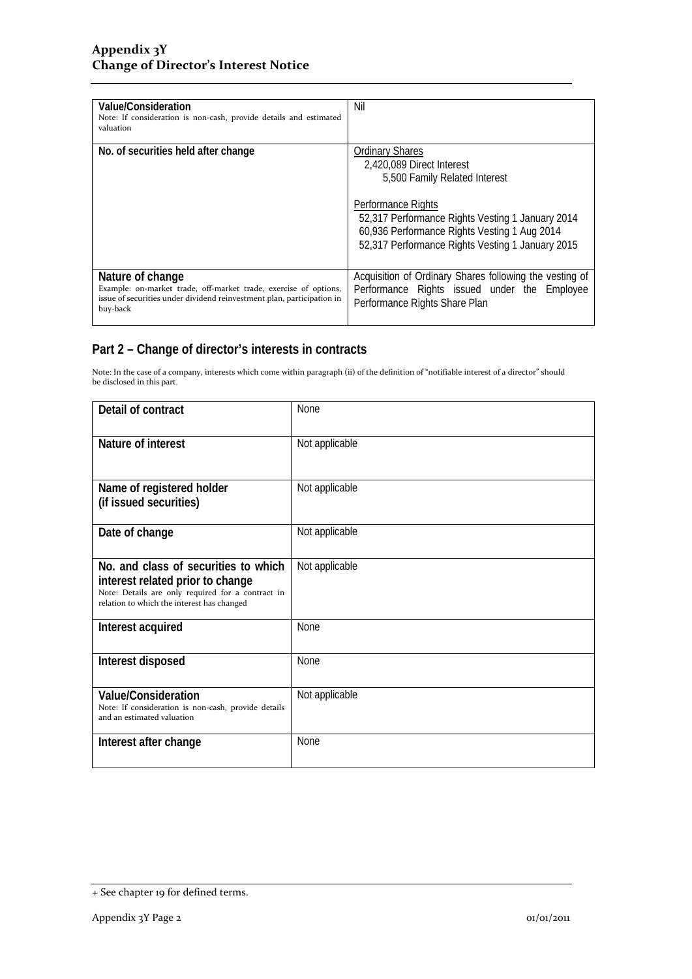| Value/Consideration<br>Note: If consideration is non-cash, provide details and estimated<br>valuation                                                                      | Nil                                                                                                                                                                                                                                                                |
|----------------------------------------------------------------------------------------------------------------------------------------------------------------------------|--------------------------------------------------------------------------------------------------------------------------------------------------------------------------------------------------------------------------------------------------------------------|
| No. of securities held after change                                                                                                                                        | <b>Ordinary Shares</b><br>2,420,089 Direct Interest<br>5,500 Family Related Interest<br>Performance Rights<br>52,317 Performance Rights Vesting 1 January 2014<br>60,936 Performance Rights Vesting 1 Aug 2014<br>52,317 Performance Rights Vesting 1 January 2015 |
| Nature of change<br>Example: on-market trade, off-market trade, exercise of options,<br>issue of securities under dividend reinvestment plan, participation in<br>buy-back | Acquisition of Ordinary Shares following the vesting of<br>Performance Rights issued under the Employee<br>Performance Rights Share Plan                                                                                                                           |

### **Part 2 – Change of director's interests in contracts**

Note: In the case of a company, interests which come within paragraph (ii) of the definition of "notifiable interest of a director" should be disclosed in this part.

| Detail of contract                                                                                                                                                          | <b>None</b>    |
|-----------------------------------------------------------------------------------------------------------------------------------------------------------------------------|----------------|
| Nature of interest                                                                                                                                                          | Not applicable |
| Name of registered holder<br>(if issued securities)                                                                                                                         | Not applicable |
| Date of change                                                                                                                                                              | Not applicable |
| No. and class of securities to which<br>interest related prior to change<br>Note: Details are only required for a contract in<br>relation to which the interest has changed | Not applicable |
| Interest acquired                                                                                                                                                           | None           |
| Interest disposed                                                                                                                                                           | <b>None</b>    |
| <b>Value/Consideration</b><br>Note: If consideration is non-cash, provide details<br>and an estimated valuation                                                             | Not applicable |
| Interest after change                                                                                                                                                       | <b>None</b>    |

<sup>+</sup> See chapter 19 for defined terms.